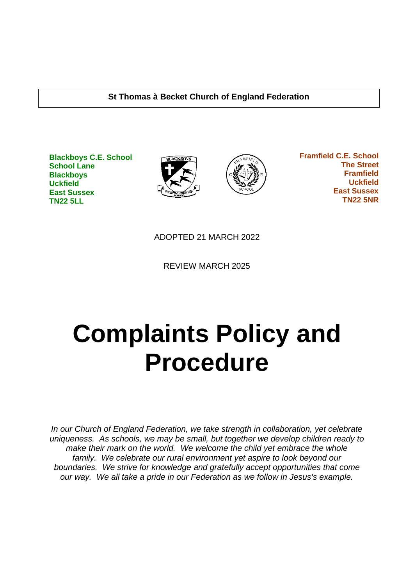#### **St Thomas à Becket Church of England Federation**

**Blackboys C.E. School School Lane Blackboys Uckfield East Sussex TN22 5LL**





 **Framfield C.E. School The Street Framfield Uckfield East Sussex TN22 5NR**

ADOPTED 21 MARCH 2022

REVIEW MARCH 2025

# **Complaints Policy and Procedure**

*In our Church of England Federation, we take strength in collaboration, yet celebrate uniqueness. As schools, we may be small, but together we develop children ready to make their mark on the world. We welcome the child yet embrace the whole family. We celebrate our rural environment yet aspire to look beyond our boundaries. We strive for knowledge and gratefully accept opportunities that come our way. We all take a pride in our Federation as we follow in Jesus's example.*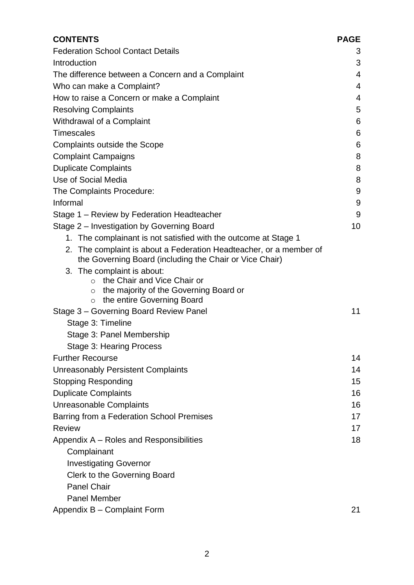| <b>CONTENTS</b>                                                                                                                                                    | <b>PAGE</b> |
|--------------------------------------------------------------------------------------------------------------------------------------------------------------------|-------------|
| <b>Federation School Contact Details</b>                                                                                                                           | 3           |
| Introduction                                                                                                                                                       | 3           |
| The difference between a Concern and a Complaint                                                                                                                   | 4           |
| Who can make a Complaint?                                                                                                                                          | 4           |
| How to raise a Concern or make a Complaint                                                                                                                         | 4           |
| <b>Resolving Complaints</b>                                                                                                                                        | 5           |
| Withdrawal of a Complaint                                                                                                                                          | 6           |
| <b>Timescales</b>                                                                                                                                                  | 6           |
| Complaints outside the Scope                                                                                                                                       | 6           |
| <b>Complaint Campaigns</b>                                                                                                                                         | 8           |
| <b>Duplicate Complaints</b>                                                                                                                                        | 8           |
| Use of Social Media                                                                                                                                                | 8           |
| The Complaints Procedure:                                                                                                                                          | 9           |
| Informal                                                                                                                                                           | 9           |
| Stage 1 – Review by Federation Headteacher                                                                                                                         | 9           |
| Stage 2 – Investigation by Governing Board                                                                                                                         | 10          |
| 1. The complainant is not satisfied with the outcome at Stage 1                                                                                                    |             |
| 2. The complaint is about a Federation Headteacher, or a member of<br>the Governing Board (including the Chair or Vice Chair)                                      |             |
| 3. The complaint is about:<br>the Chair and Vice Chair or<br>$\circ$<br>the majority of the Governing Board or<br>$\circ$<br>the entire Governing Board<br>$\circ$ |             |
| Stage 3 - Governing Board Review Panel                                                                                                                             | 11          |
| Stage 3: Timeline                                                                                                                                                  |             |
| Stage 3: Panel Membership                                                                                                                                          |             |
| Stage 3: Hearing Process                                                                                                                                           |             |
| <b>Further Recourse</b>                                                                                                                                            | 14          |
| <b>Unreasonably Persistent Complaints</b>                                                                                                                          | 14          |
| <b>Stopping Responding</b>                                                                                                                                         | 15          |
| <b>Duplicate Complaints</b>                                                                                                                                        | 16          |
| <b>Unreasonable Complaints</b>                                                                                                                                     | 16          |
| Barring from a Federation School Premises                                                                                                                          | 17          |
| <b>Review</b>                                                                                                                                                      | 17          |
| Appendix A – Roles and Responsibilities                                                                                                                            | 18          |
| Complainant                                                                                                                                                        |             |
| <b>Investigating Governor</b>                                                                                                                                      |             |
| Clerk to the Governing Board                                                                                                                                       |             |
| <b>Panel Chair</b>                                                                                                                                                 |             |
| <b>Panel Member</b>                                                                                                                                                |             |
| Appendix B - Complaint Form                                                                                                                                        | 21          |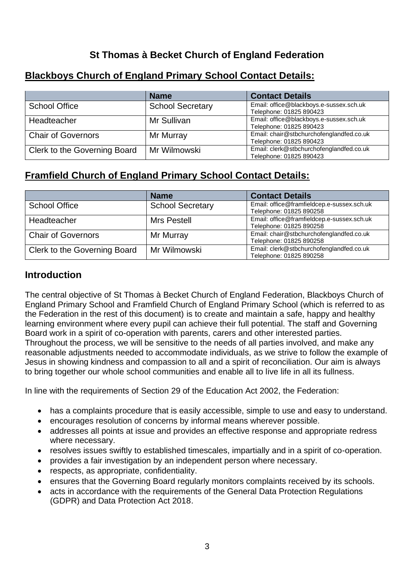## **St Thomas à Becket Church of England Federation**

|                                                 | <b>Name</b>  | <b>Contact Details</b>                   |  |
|-------------------------------------------------|--------------|------------------------------------------|--|
| <b>School Secretary</b><br><b>School Office</b> |              | Email: office@blackboys.e-sussex.sch.uk  |  |
|                                                 |              | Telephone: 01825 890423                  |  |
| Headteacher                                     | Mr Sullivan  | Email: office@blackboys.e-sussex.sch.uk  |  |
|                                                 |              | Telephone: 01825 890423                  |  |
| <b>Chair of Governors</b>                       | Mr Murray    | Email: chair@stbchurchofenglandfed.co.uk |  |
|                                                 |              | Telephone: 01825 890423                  |  |
| Clerk to the Governing Board                    | Mr Wilmowski | Email: clerk@stbchurchofenglandfed.co.uk |  |
|                                                 |              | Telephone: 01825 890423                  |  |

## <span id="page-2-0"></span>**Blackboys Church of England Primary School Contact Details:**

## **Framfield Church of England Primary School Contact Details:**

|                              | <b>Name</b>             | <b>Contact Details</b>                                                |
|------------------------------|-------------------------|-----------------------------------------------------------------------|
| <b>School Office</b>         | <b>School Secretary</b> | Email: office@framfieldcep.e-sussex.sch.uk<br>Telephone: 01825 890258 |
| Headteacher                  | Mrs Pestell             | Email: office@framfieldcep.e-sussex.sch.uk<br>Telephone: 01825 890258 |
| <b>Chair of Governors</b>    | Mr Murray               | Email: chair@stbchurchofenglandfed.co.uk<br>Telephone: 01825 890258   |
| Clerk to the Governing Board | Mr Wilmowski            | Email: clerk@stbchurchofenglandfed.co.uk<br>Telephone: 01825 890258   |

## **Introduction**

The central objective of St Thomas à Becket Church of England Federation, Blackboys Church of England Primary School and Framfield Church of England Primary School (which is referred to as the Federation in the rest of this document) is to create and maintain a safe, happy and healthy learning environment where every pupil can achieve their full potential. The staff and Governing Board work in a spirit of co-operation with parents, carers and other interested parties. Throughout the process, we will be sensitive to the needs of all parties involved, and make any reasonable adjustments needed to accommodate individuals, as we strive to follow the example of Jesus in showing kindness and compassion to all and a spirit of reconciliation. Our aim is always to bring together our whole school communities and enable all to live life in all its fullness.

In line with the requirements of Section 29 of the Education Act 2002, the Federation:

- has a complaints procedure that is easily accessible, simple to use and easy to understand.
- encourages resolution of concerns by informal means wherever possible.
- addresses all points at issue and provides an effective response and appropriate redress where necessary.
- resolves issues swiftly to established timescales, impartially and in a spirit of co-operation.
- provides a fair investigation by an independent person where necessary.
- respects, as appropriate, confidentiality.
- ensures that the Governing Board regularly monitors complaints received by its schools.
- acts in accordance with the requirements of the General Data Protection Regulations (GDPR) and Data Protection Act 2018.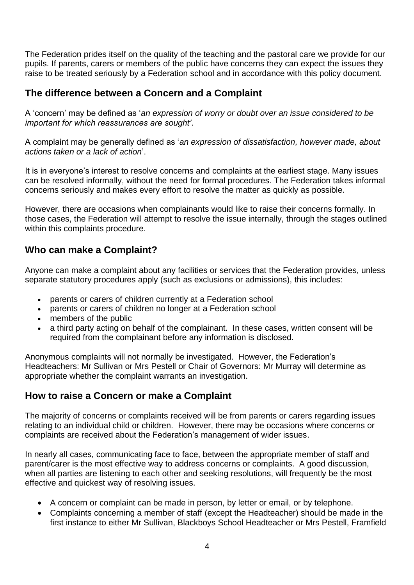The Federation prides itself on the quality of the teaching and the pastoral care we provide for our pupils. If parents, carers or members of the public have concerns they can expect the issues they raise to be treated seriously by a Federation school and in accordance with this policy document.

## **The difference between a Concern and a Complaint**

A 'concern' may be defined as '*an expression of worry or doubt over an issue considered to be important for which reassurances are sought'*.

A complaint may be generally defined as '*an expression of dissatisfaction, however made, about actions taken or a lack of action*'.

It is in everyone's interest to resolve concerns and complaints at the earliest stage. Many issues can be resolved informally, without the need for formal procedures. The Federation takes informal concerns seriously and makes every effort to resolve the matter as quickly as possible.

However, there are occasions when complainants would like to raise their concerns formally. In those cases, the Federation will attempt to resolve the issue internally, through the stages outlined within this complaints procedure.

## **Who can make a Complaint?**

Anyone can make a complaint about any facilities or services that the Federation provides, unless separate statutory procedures apply (such as exclusions or admissions), this includes:

- parents or carers of children currently at a Federation school
- parents or carers of children no longer at a Federation school
- members of the public
- a third party acting on behalf of the complainant. In these cases, written consent will be required from the complainant before any information is disclosed.

Anonymous complaints will not normally be investigated. However, the Federation's Headteachers: Mr Sullivan or Mrs Pestell or Chair of Governors: Mr Murray will determine as appropriate whether the complaint warrants an investigation.

## **How to raise a Concern or make a Complaint**

The majority of concerns or complaints received will be from parents or carers regarding issues relating to an individual child or children. However, there may be occasions where concerns or complaints are received about the Federation's management of wider issues.

In nearly all cases, communicating face to face, between the appropriate member of staff and parent/carer is the most effective way to address concerns or complaints. A good discussion, when all parties are listening to each other and seeking resolutions, will frequently be the most effective and quickest way of resolving issues.

- A concern or complaint can be made in person, by letter or email, or by telephone.
- Complaints concerning a member of staff (except the Headteacher) should be made in the first instance to either Mr Sullivan, Blackboys School Headteacher or Mrs Pestell, Framfield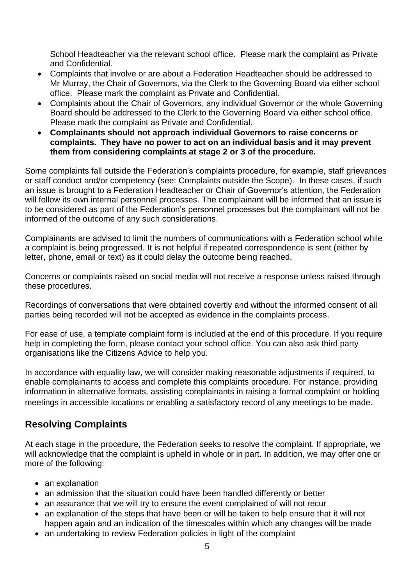School Headteacher via the relevant school office. Please mark the complaint as Private and Confidential.

- Complaints that involve or are about a Federation Headteacher should be addressed to Mr Murray, the Chair of Governors, via the Clerk to the Governing Board via either school office. Please mark the complaint as Private and Confidential.
- Complaints about the Chair of Governors, any individual Governor or the whole Governing Board should be addressed to the Clerk to the Governing Board via either school office. Please mark the complaint as Private and Confidential.
- **Complainants should not approach individual Governors to raise concerns or complaints. They have no power to act on an individual basis and it may prevent them from considering complaints at stage 2 or 3 of the procedure.**

Some complaints fall outside the Federation's complaints procedure, for example, staff grievances or staff conduct and/or competency (see: [Complaints outside the Scope\)](#page-5-0). In these cases, if such an issue is brought to a Federation Headteacher or Chair of Governor's attention, the Federation will follow its own internal personnel processes. The complainant will be informed that an issue is to be considered as part of the Federation's personnel processes but the complainant will not be informed of the outcome of any such considerations.

Complainants are advised to limit the numbers of communications with a Federation school while a complaint is being progressed. It is not helpful if repeated correspondence is sent (either by letter, phone, email or text) as it could delay the outcome being reached.

Concerns or complaints raised on social media will not receive a response unless raised through these procedures.

Recordings of conversations that were obtained covertly and without the informed consent of all parties being recorded will not be accepted as evidence in the complaints process.

For ease of use, a [template complaint form](#page-20-0) is included at the end of this procedure. If you require help in completing the form, please contact your [school office.](#page-2-0) You can also ask third party organisations like the Citizens Advice to help you.

In accordance with equality law, we will consider making reasonable adjustments if required, to enable complainants to access and complete this complaints procedure. For instance, providing information in alternative formats, assisting complainants in raising a formal complaint or holding meetings in accessible locations or enabling a satisfactory record of any meetings to be made.

## **Resolving Complaints**

At each stage in the procedure, the Federation seeks to resolve the complaint. If appropriate, we will acknowledge that the complaint is upheld in whole or in part. In addition, we may offer one or more of the following:

- an explanation
- an admission that the situation could have been handled differently or better
- an assurance that we will try to ensure the event complained of will not recur
- an explanation of the steps that have been or will be taken to help ensure that it will not happen again and an indication of the timescales within which any changes will be made
- an undertaking to review Federation policies in light of the complaint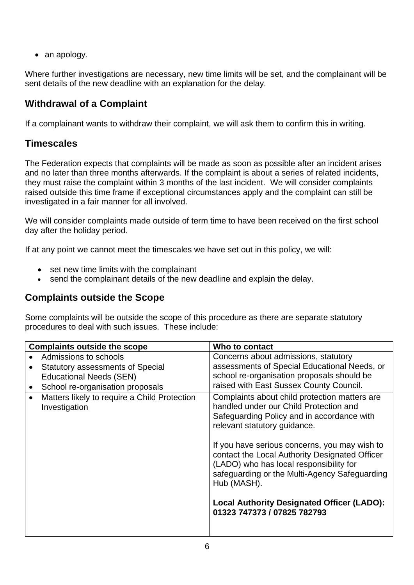• an apology.

Where further investigations are necessary, new time limits will be set, and the complainant will be sent details of the new deadline with an explanation for the delay.

## **Withdrawal of a Complaint**

If a complainant wants to withdraw their complaint, we will ask them to confirm this in writing.

## **Timescales**

The Federation expects that complaints will be made as soon as possible after an incident arises and no later than three months afterwards. If the complaint is about a series of related incidents, they must raise the complaint within 3 months of the last incident. We will consider complaints raised outside this time frame if exceptional circumstances apply and the complaint can still be investigated in a fair manner for all involved.

We will consider complaints made outside of term time to have been received on the first school day after the holiday period.

If at any point we cannot meet the timescales we have set out in this policy, we will:

- set new time limits with the complainant
- send the complainant details of the new deadline and explain the delay.

## **Complaints outside the Scope**

Some complaints will be outside the scope of this procedure as there are separate statutory procedures to deal with such issues. These include:

<span id="page-5-0"></span>

| <b>Complaints outside the scope</b>                           | Who to contact                                                                                                                                                                                                                                                                                                                                                                                                                                                          |
|---------------------------------------------------------------|-------------------------------------------------------------------------------------------------------------------------------------------------------------------------------------------------------------------------------------------------------------------------------------------------------------------------------------------------------------------------------------------------------------------------------------------------------------------------|
| Admissions to schools                                         | Concerns about admissions, statutory                                                                                                                                                                                                                                                                                                                                                                                                                                    |
| <b>Statutory assessments of Special</b>                       | assessments of Special Educational Needs, or                                                                                                                                                                                                                                                                                                                                                                                                                            |
| <b>Educational Needs (SEN)</b>                                | school re-organisation proposals should be                                                                                                                                                                                                                                                                                                                                                                                                                              |
| School re-organisation proposals                              | raised with East Sussex County Council.                                                                                                                                                                                                                                                                                                                                                                                                                                 |
| Matters likely to require a Child Protection<br>Investigation | Complaints about child protection matters are<br>handled under our Child Protection and<br>Safeguarding Policy and in accordance with<br>relevant statutory guidance.<br>If you have serious concerns, you may wish to<br>contact the Local Authority Designated Officer<br>(LADO) who has local responsibility for<br>safeguarding or the Multi-Agency Safeguarding<br>Hub (MASH).<br><b>Local Authority Designated Officer (LADO):</b><br>01323 747373 / 07825 782793 |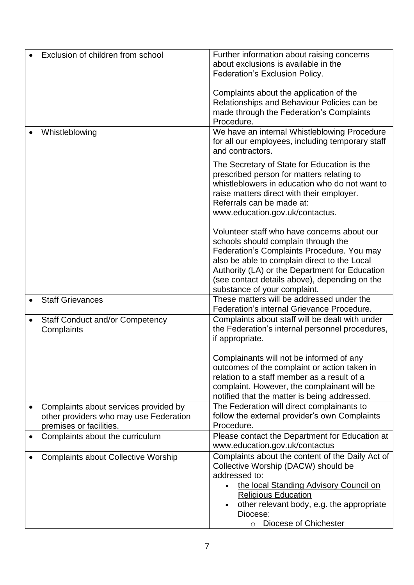|           | Exclusion of children from school                                                                          | Further information about raising concerns<br>about exclusions is available in the<br>Federation's Exclusion Policy.                                                                                                                                                                                                |
|-----------|------------------------------------------------------------------------------------------------------------|---------------------------------------------------------------------------------------------------------------------------------------------------------------------------------------------------------------------------------------------------------------------------------------------------------------------|
|           |                                                                                                            | Complaints about the application of the<br>Relationships and Behaviour Policies can be<br>made through the Federation's Complaints<br>Procedure.                                                                                                                                                                    |
|           | Whistleblowing                                                                                             | We have an internal Whistleblowing Procedure<br>for all our employees, including temporary staff<br>and contractors.                                                                                                                                                                                                |
|           |                                                                                                            | The Secretary of State for Education is the<br>prescribed person for matters relating to<br>whistleblowers in education who do not want to<br>raise matters direct with their employer.<br>Referrals can be made at:<br>www.education.gov.uk/contactus.                                                             |
|           |                                                                                                            | Volunteer staff who have concerns about our<br>schools should complain through the<br>Federation's Complaints Procedure. You may<br>also be able to complain direct to the Local<br>Authority (LA) or the Department for Education<br>(see contact details above), depending on the<br>substance of your complaint. |
|           | <b>Staff Grievances</b>                                                                                    | These matters will be addressed under the<br>Federation's internal Grievance Procedure.                                                                                                                                                                                                                             |
|           | <b>Staff Conduct and/or Competency</b><br>Complaints                                                       | Complaints about staff will be dealt with under<br>the Federation's internal personnel procedures,<br>if appropriate.                                                                                                                                                                                               |
|           |                                                                                                            | Complainants will not be informed of any<br>outcomes of the complaint or action taken in<br>relation to a staff member as a result of a<br>complaint. However, the complainant will be<br>notified that the matter is being addressed.                                                                              |
|           | Complaints about services provided by<br>other providers who may use Federation<br>premises or facilities. | The Federation will direct complainants to<br>follow the external provider's own Complaints<br>Procedure.                                                                                                                                                                                                           |
| $\bullet$ | Complaints about the curriculum                                                                            | Please contact the Department for Education at<br>www.education.gov.uk/contactus                                                                                                                                                                                                                                    |
|           | <b>Complaints about Collective Worship</b>                                                                 | Complaints about the content of the Daily Act of<br>Collective Worship (DACW) should be<br>addressed to:<br>the local Standing Advisory Council on<br><b>Religious Education</b><br>other relevant body, e.g. the appropriate<br>Diocese:<br>Diocese of Chichester<br>$\circ$                                       |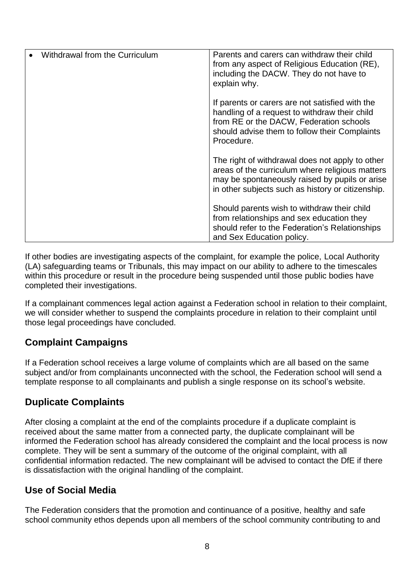| Withdrawal from the Curriculum | Parents and carers can withdraw their child<br>from any aspect of Religious Education (RE),<br>including the DACW. They do not have to<br>explain why.                                                     |
|--------------------------------|------------------------------------------------------------------------------------------------------------------------------------------------------------------------------------------------------------|
|                                | If parents or carers are not satisfied with the<br>handling of a request to withdraw their child<br>from RE or the DACW, Federation schools<br>should advise them to follow their Complaints<br>Procedure. |
|                                | The right of withdrawal does not apply to other<br>areas of the curriculum where religious matters<br>may be spontaneously raised by pupils or arise<br>in other subjects such as history or citizenship.  |
|                                | Should parents wish to withdraw their child<br>from relationships and sex education they<br>should refer to the Federation's Relationships<br>and Sex Education policy.                                    |

If other bodies are investigating aspects of the complaint, for example the police, Local Authority (LA) safeguarding teams or Tribunals, this may impact on our ability to adhere to the timescales within this procedure or result in the procedure being suspended until those public bodies have completed their investigations.

If a complainant commences legal action against a Federation school in relation to their complaint, we will consider whether to suspend the complaints procedure in relation to their complaint until those legal proceedings have concluded.

## **Complaint Campaigns**

If a Federation school receives a large volume of complaints which are all based on the same subject and/or from complainants unconnected with the school, the Federation school will send a template response to all complainants and publish a single response on its school's website.

## **Duplicate Complaints**

After closing a complaint at the end of the complaints procedure if a duplicate complaint is received about the same matter from a connected party, the duplicate complainant will be informed the Federation school has already considered the complaint and the local process is now complete. They will be sent a summary of the outcome of the original complaint, with all confidential information redacted. The new complainant will be advised to contact the DfE if there is dissatisfaction with the original handling of the complaint.

## **Use of Social Media**

The Federation considers that the promotion and continuance of a positive, healthy and safe school community ethos depends upon all members of the school community contributing to and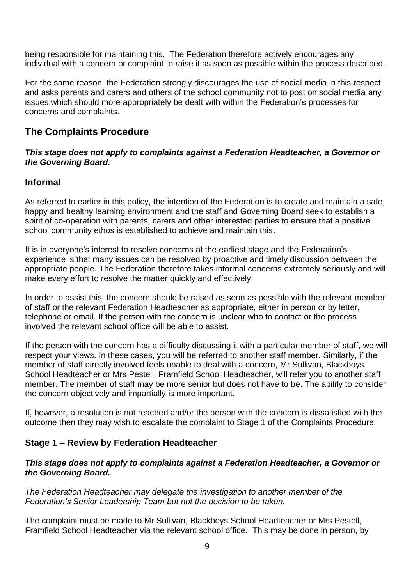being responsible for maintaining this. The Federation therefore actively encourages any individual with a concern or complaint to raise it as soon as possible within the process described.

For the same reason, the Federation strongly discourages the use of social media in this respect and asks parents and carers and others of the school community not to post on social media any issues which should more appropriately be dealt with within the Federation's processes for concerns and complaints.

## **The Complaints Procedure**

#### *This stage does not apply to complaints against a Federation Headteacher, a Governor or the Governing Board.*

#### **Informal**

As referred to earlier in this policy, the intention of the Federation is to create and maintain a safe, happy and healthy learning environment and the staff and Governing Board seek to establish a spirit of co-operation with parents, carers and other interested parties to ensure that a positive school community ethos is established to achieve and maintain this.

It is in everyone's interest to resolve concerns at the earliest stage and the Federation's experience is that many issues can be resolved by proactive and timely discussion between the appropriate people. The Federation therefore takes informal concerns extremely seriously and will make every effort to resolve the matter quickly and effectively.

In order to assist this, the concern should be raised as soon as possible with the relevant member of staff or the relevant Federation Headteacher as appropriate, either in person or by letter, telephone or email. If the person with the concern is unclear who to contact or the process involved [the relevant school office](#page-2-0) will be able to assist.

If the person with the concern has a difficulty discussing it with a particular member of staff, we will respect your views. In these cases, you will be referred to another staff member. Similarly, if the member of staff directly involved feels unable to deal with a concern, Mr Sullivan, Blackboys School Headteacher or Mrs Pestell, Framfield School Headteacher, will refer you to another staff member. The member of staff may be more senior but does not have to be. The ability to consider the concern objectively and impartially is more important.

If, however, a resolution is not reached and/or the person with the concern is dissatisfied with the outcome then they may wish to escalate the complaint to Stage 1 of the Complaints Procedure.

#### **Stage 1 – Review by Federation Headteacher**

#### *This stage does not apply to complaints against a Federation Headteacher, a Governor or the Governing Board.*

*The Federation Headteacher may delegate the investigation to another member of the Federation's Senior Leadership Team but not the decision to be taken.*

The complaint must be made to Mr Sullivan, Blackboys School Headteacher or Mrs Pestell, Framfield School Headteacher via the relevant school office. This may be done in person, by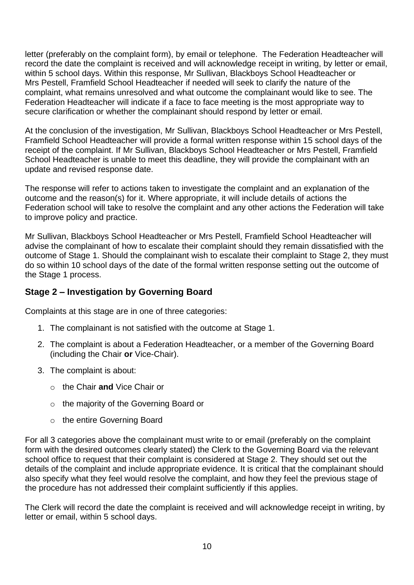letter (preferably on the [complaint form\)](#page-20-0), by email or telephone. The Federation Headteacher will record the date the complaint is received and will acknowledge receipt in writing, by letter or email, within 5 school days. Within this response, Mr Sullivan, Blackboys School Headteacher or Mrs Pestell, Framfield School Headteacher if needed will seek to clarify the nature of the complaint, what remains unresolved and what outcome the complainant would like to see. The Federation Headteacher will indicate if a face to face meeting is the most appropriate way to secure clarification or whether the complainant should respond by letter or email.

At the conclusion of the investigation, Mr Sullivan, Blackboys School Headteacher or Mrs Pestell, Framfield School Headteacher will provide a formal written response within 15 school days of the receipt of the complaint. If Mr Sullivan, Blackboys School Headteacher or Mrs Pestell, Framfield School Headteacher is unable to meet this deadline, they will provide the complainant with an update and revised response date.

The response will refer to actions taken to investigate the complaint and an explanation of the outcome and the reason(s) for it. Where appropriate, it will include details of actions the Federation school will take to resolve the complaint and any other actions the Federation will take to improve policy and practice.

Mr Sullivan, Blackboys School Headteacher or Mrs Pestell, Framfield School Headteacher will advise the complainant of how to escalate their complaint should they remain dissatisfied with the outcome of Stage 1. Should the complainant wish to escalate their complaint to Stage 2, they must do so within 10 school days of the date of the formal written response setting out the outcome of the Stage 1 process.

#### **Stage 2 – Investigation by Governing Board**

Complaints at this stage are in one of three categories:

- 1. The complainant is not satisfied with the outcome at Stage 1.
- 2. The complaint is about a Federation Headteacher, or a member of the Governing Board (including the Chair **or** Vice-Chair).
- 3. The complaint is about:
	- o the Chair **and** Vice Chair or
	- o the majority of the Governing Board or
	- o the entire Governing Board

For all 3 categories above the complainant must write to or email (preferably on the [complaint](#page-20-0)  [form](#page-20-0) with the desired outcomes clearly stated) the Clerk to the Governing Board via the relevant [school office](#page-2-0) to request that their complaint is considered at Stage 2. They should set out the details of the complaint and include appropriate evidence. It is critical that the complainant should also specify what they feel would resolve the complaint, and how they feel the previous stage of the procedure has not addressed their complaint sufficiently if this applies.

The Clerk will record the date the complaint is received and will acknowledge receipt in writing, by letter or email, within 5 school days.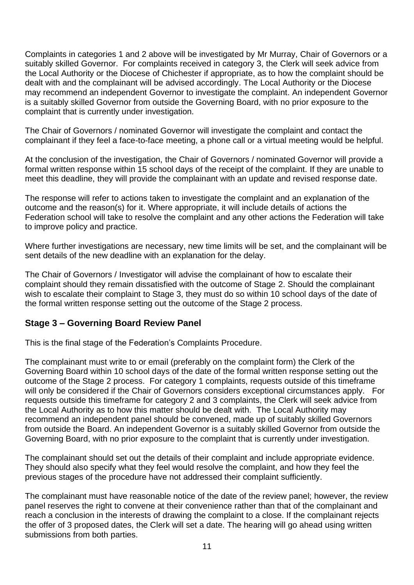Complaints in categories 1 and 2 above will be investigated by Mr Murray, Chair of Governors or a suitably skilled Governor. For complaints received in category 3, the Clerk will seek advice from the Local Authority or the Diocese of Chichester if appropriate, as to how the complaint should be dealt with and the complainant will be advised accordingly. The Local Authority or the Diocese may recommend an independent Governor to investigate the complaint. An independent Governor is a suitably skilled Governor from outside the Governing Board, with no prior exposure to the complaint that is currently under investigation.

The Chair of Governors / nominated Governor will investigate the complaint and contact the complainant if they feel a face-to-face meeting, a phone call or a virtual meeting would be helpful.

At the conclusion of the investigation, the Chair of Governors / nominated Governor will provide a formal written response within 15 school days of the receipt of the complaint. If they are unable to meet this deadline, they will provide the complainant with an update and revised response date.

The response will refer to actions taken to investigate the complaint and an explanation of the outcome and the reason(s) for it. Where appropriate, it will include details of actions the Federation school will take to resolve the complaint and any other actions the Federation will take to improve policy and practice.

Where further investigations are necessary, new time limits will be set, and the complainant will be sent details of the new deadline with an explanation for the delay.

The Chair of Governors / Investigator will advise the complainant of how to escalate their complaint should they remain dissatisfied with the outcome of Stage 2. Should the complainant wish to escalate their complaint to Stage 3, they must do so within 10 school days of the date of the formal written response setting out the outcome of the Stage 2 process.

#### **Stage 3 – Governing Board Review Panel**

This is the final stage of the Federation's Complaints Procedure.

The complainant must write to or email (preferably on the [complaint form\)](#page-2-0) the Clerk of the Governing Board within 10 school days of the date of the formal written response setting out the outcome of the Stage 2 process. For category 1 complaints, requests outside of this timeframe will only be considered if the Chair of Governors considers exceptional circumstances apply. For requests outside this timeframe for category 2 and 3 complaints, the Clerk will seek advice from the Local Authority as to how this matter should be dealt with. The Local Authority may recommend an independent panel should be convened, made up of suitably skilled Governors from outside the Board. An independent Governor is a suitably skilled Governor from outside the Governing Board, with no prior exposure to the complaint that is currently under investigation.

The complainant should set out the details of their complaint and include appropriate evidence. They should also specify what they feel would resolve the complaint, and how they feel the previous stages of the procedure have not addressed their complaint sufficiently.

The complainant must have reasonable notice of the date of the review panel; however, the review panel reserves the right to convene at their convenience rather than that of the complainant and reach a conclusion in the interests of drawing the complaint to a close. If the complainant rejects the offer of 3 proposed dates, the Clerk will set a date. The hearing will go ahead using written submissions from both parties.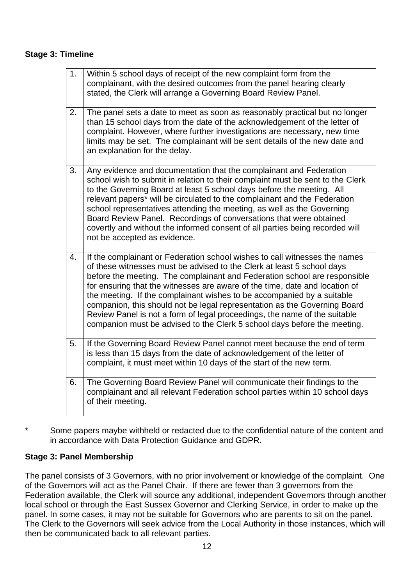#### **Stage 3: Timeline**

| 1. | Within 5 school days of receipt of the new complaint form from the<br>complainant, with the desired outcomes from the panel hearing clearly<br>stated, the Clerk will arrange a Governing Board Review Panel.                                                                                                                                                                                                                                                                                                                                                                                                                    |
|----|----------------------------------------------------------------------------------------------------------------------------------------------------------------------------------------------------------------------------------------------------------------------------------------------------------------------------------------------------------------------------------------------------------------------------------------------------------------------------------------------------------------------------------------------------------------------------------------------------------------------------------|
| 2. | The panel sets a date to meet as soon as reasonably practical but no longer<br>than 15 school days from the date of the acknowledgement of the letter of<br>complaint. However, where further investigations are necessary, new time<br>limits may be set. The complainant will be sent details of the new date and<br>an explanation for the delay.                                                                                                                                                                                                                                                                             |
| 3. | Any evidence and documentation that the complainant and Federation<br>school wish to submit in relation to their complaint must be sent to the Clerk<br>to the Governing Board at least 5 school days before the meeting. All<br>relevant papers* will be circulated to the complainant and the Federation<br>school representatives attending the meeting, as well as the Governing<br>Board Review Panel. Recordings of conversations that were obtained<br>covertly and without the informed consent of all parties being recorded will<br>not be accepted as evidence.                                                       |
| 4. | If the complainant or Federation school wishes to call witnesses the names<br>of these witnesses must be advised to the Clerk at least 5 school days<br>before the meeting. The complainant and Federation school are responsible<br>for ensuring that the witnesses are aware of the time, date and location of<br>the meeting. If the complainant wishes to be accompanied by a suitable<br>companion, this should not be legal representation as the Governing Board<br>Review Panel is not a form of legal proceedings, the name of the suitable<br>companion must be advised to the Clerk 5 school days before the meeting. |
| 5. | If the Governing Board Review Panel cannot meet because the end of term<br>is less than 15 days from the date of acknowledgement of the letter of<br>complaint, it must meet within 10 days of the start of the new term.                                                                                                                                                                                                                                                                                                                                                                                                        |
| 6. | The Governing Board Review Panel will communicate their findings to the<br>complainant and all relevant Federation school parties within 10 school days<br>of their meeting.                                                                                                                                                                                                                                                                                                                                                                                                                                                     |

\* Some papers maybe withheld or redacted due to the confidential nature of the content and in accordance with Data Protection Guidance and GDPR.

#### **Stage 3: Panel Membership**

The panel consists of 3 Governors, with no prior involvement or knowledge of the complaint. One of the Governors will act as the Panel Chair. If there are fewer than 3 governors from the Federation available, the Clerk will source any additional, independent Governors through another local school or through the East Sussex Governor and Clerking Service, in order to make up the panel. In some cases, it may not be suitable for Governors who are parents to sit on the panel. The Clerk to the Governors will seek advice from the Local Authority in those instances, which will then be communicated back to all relevant parties.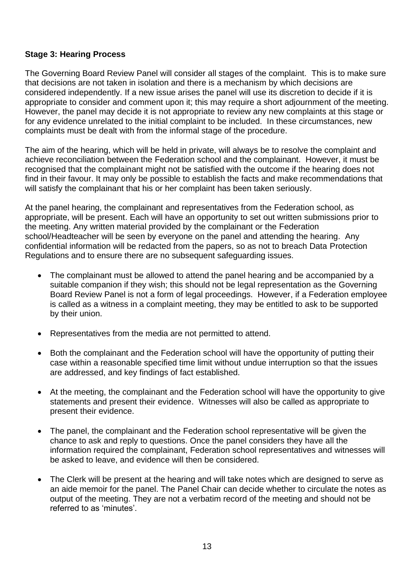#### **Stage 3: Hearing Process**

The Governing Board Review Panel will consider all stages of the complaint. This is to make sure that decisions are not taken in isolation and there is a mechanism by which decisions are considered independently. If a new issue arises the panel will use its discretion to decide if it is appropriate to consider and comment upon it; this may require a short adjournment of the meeting. However, the panel may decide it is not appropriate to review any new complaints at this stage or for any evidence unrelated to the initial complaint to be included. In these circumstances, new complaints must be dealt with from the informal stage of the procedure.

The aim of the hearing, which will be held in private, will always be to resolve the complaint and achieve reconciliation between the Federation school and the complainant. However, it must be recognised that the complainant might not be satisfied with the outcome if the hearing does not find in their favour. It may only be possible to establish the facts and make recommendations that will satisfy the complainant that his or her complaint has been taken seriously.

At the panel hearing, the complainant and representatives from the Federation school, as appropriate, will be present. Each will have an opportunity to set out written submissions prior to the meeting. Any written material provided by the complainant or the Federation school/Headteacher will be seen by everyone on the panel and attending the hearing. Any confidential information will be redacted from the papers, so as not to breach Data Protection Regulations and to ensure there are no subsequent safeguarding issues.

- The complainant must be allowed to attend the panel hearing and be accompanied by a suitable companion if they wish; this should not be legal representation as the Governing Board Review Panel is not a form of legal proceedings. However, if a Federation employee is called as a witness in a complaint meeting, they may be entitled to ask to be supported by their union.
- Representatives from the media are not permitted to attend.
- Both the complainant and the Federation school will have the opportunity of putting their case within a reasonable specified time limit without undue interruption so that the issues are addressed, and key findings of fact established.
- At the meeting, the complainant and the Federation school will have the opportunity to give statements and present their evidence. Witnesses will also be called as appropriate to present their evidence.
- The panel, the complainant and the Federation school representative will be given the chance to ask and reply to questions. Once the panel considers they have all the information required the complainant, Federation school representatives and witnesses will be asked to leave, and evidence will then be considered.
- The Clerk will be present at the hearing and will take notes which are designed to serve as an aide memoir for the panel. The Panel Chair can decide whether to circulate the notes as output of the meeting. They are not a verbatim record of the meeting and should not be referred to as 'minutes'.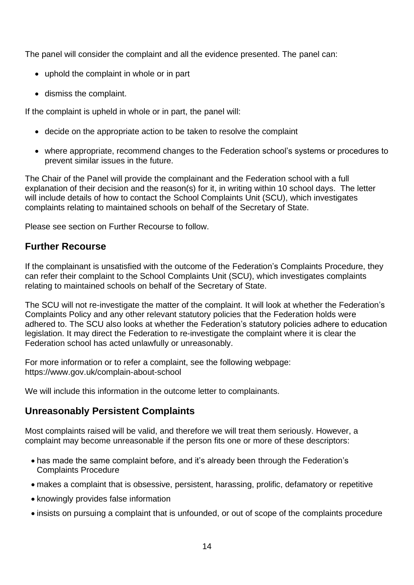The panel will consider the complaint and all the evidence presented. The panel can:

- uphold the complaint in whole or in part
- dismiss the complaint.

If the complaint is upheld in whole or in part, the panel will:

- decide on the appropriate action to be taken to resolve the complaint
- where appropriate, recommend changes to the Federation school's systems or procedures to prevent similar issues in the future.

The Chair of the Panel will provide the complainant and the Federation school with a full explanation of their decision and the reason(s) for it, in writing within 10 school days. The letter will include details of how to contact the School Complaints Unit (SCU), which investigates complaints relating to maintained schools on behalf of the Secretary of State.

Please see section on [Further Recourse](#page-13-0) to follow.

## <span id="page-13-0"></span>**Further Recourse**

If the complainant is unsatisfied with the outcome of the Federation's Complaints Procedure, they can refer their complaint to the School Complaints Unit (SCU), which investigates complaints relating to maintained schools on behalf of the Secretary of State.

The SCU will not re-investigate the matter of the complaint. It will look at whether the Federation's Complaints Policy and any other relevant statutory policies that the Federation holds were adhered to. The SCU also looks at whether the Federation's statutory policies adhere to education legislation. It may direct the Federation to re-investigate the complaint where it is clear the Federation school has acted unlawfully or unreasonably.

For more information or to refer a complaint, see the following webpage: <https://www.gov.uk/complain-about-school>

We will include this information in the outcome letter to complainants.

## **Unreasonably Persistent Complaints**

Most complaints raised will be valid, and therefore we will treat them seriously. However, a complaint may become unreasonable if the person fits one or more of these descriptors:

- has made the same complaint before, and it's already been through the Federation's Complaints Procedure
- makes a complaint that is obsessive, persistent, harassing, prolific, defamatory or repetitive
- knowingly provides false information
- insists on pursuing a complaint that is unfounded, or out of scope of the complaints procedure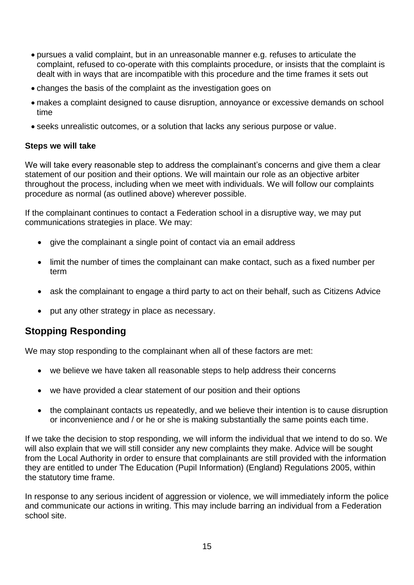- pursues a valid complaint, but in an unreasonable manner e.g. refuses to articulate the complaint, refused to co-operate with this complaints procedure, or insists that the complaint is dealt with in ways that are incompatible with this procedure and the time frames it sets out
- changes the basis of the complaint as the investigation goes on
- makes a complaint designed to cause disruption, annoyance or excessive demands on school time
- seeks unrealistic outcomes, or a solution that lacks any serious purpose or value.

#### **Steps we will take**

We will take every reasonable step to address the complainant's concerns and give them a clear statement of our position and their options. We will maintain our role as an objective arbiter throughout the process, including when we meet with individuals. We will follow our complaints procedure as normal (as outlined above) wherever possible.

If the complainant continues to contact a Federation school in a disruptive way, we may put communications strategies in place. We may:

- give the complainant a single point of contact via an email address
- limit the number of times the complainant can make contact, such as a fixed number per term
- ask the complainant to engage a third party to act on their behalf, such as [Citizens Advice](https://www.citizensadvice.org.uk/)
- put any other strategy in place as necessary.

## **Stopping Responding**

We may stop responding to the complainant when all of these factors are met:

- we believe we have taken all reasonable steps to help address their concerns
- we have provided a clear statement of our position and their options
- the complainant contacts us repeatedly, and we believe their intention is to cause disruption or inconvenience and / or he or she is making substantially the same points each time.

If we take the decision to stop responding, we will inform the individual that we intend to do so. We will also explain that we will still consider any new complaints they make. Advice will be sought from the Local Authority in order to ensure that complainants are still provided with the information they are entitled to under The Education (Pupil Information) (England) Regulations 2005, within the statutory time frame.

In response to any serious incident of aggression or violence, we will immediately inform the police and communicate our actions in writing. This may include barring an individual from a Federation school site.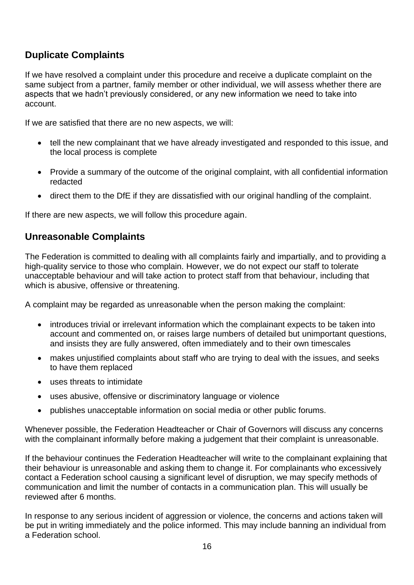## **Duplicate Complaints**

If we have resolved a complaint under this procedure and receive a duplicate complaint on the same subject from a partner, family member or other individual, we will assess whether there are aspects that we hadn't previously considered, or any new information we need to take into account.

If we are satisfied that there are no new aspects, we will:

- tell the new complainant that we have already investigated and responded to this issue, and the local process is complete
- Provide a summary of the outcome of the original complaint, with all confidential information redacted
- direct them to the DfE if they are dissatisfied with our original handling of the complaint.

If there are new aspects, we will follow this procedure again.

## **Unreasonable Complaints**

The Federation is committed to dealing with all complaints fairly and impartially, and to providing a high-quality service to those who complain. However, we do not expect our staff to tolerate unacceptable behaviour and will take action to protect staff from that behaviour, including that which is abusive, offensive or threatening.

A complaint may be regarded as unreasonable when the person making the complaint:

- introduces trivial or irrelevant information which the complainant expects to be taken into account and commented on, or raises large numbers of detailed but unimportant questions, and insists they are fully answered, often immediately and to their own timescales
- makes unjustified complaints about staff who are trying to deal with the issues, and seeks to have them replaced
- uses threats to intimidate
- uses abusive, offensive or discriminatory language or violence
- publishes unacceptable information on social media or other public forums.

Whenever possible, the Federation Headteacher or Chair of Governors will discuss any concerns with the complainant informally before making a judgement that their complaint is unreasonable.

If the behaviour continues the Federation Headteacher will write to the complainant explaining that their behaviour is unreasonable and asking them to change it. For complainants who excessively contact a Federation school causing a significant level of disruption, we may specify methods of communication and limit the number of contacts in a communication plan. This will usually be reviewed after 6 months.

In response to any serious incident of aggression or violence, the concerns and actions taken will be put in writing immediately and the police informed. This may include banning an individual from a Federation school.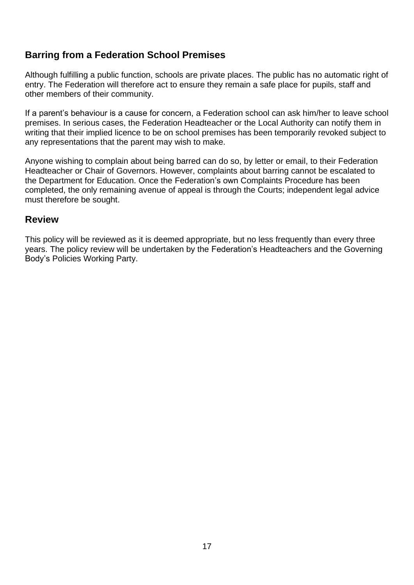## **Barring from a Federation School Premises**

Although fulfilling a public function, schools are private places. The public has no automatic right of entry. The Federation will therefore act to ensure they remain a safe place for pupils, staff and other members of their community.

If a parent's behaviour is a cause for concern, a Federation school can ask him/her to leave school premises. In serious cases, the Federation Headteacher or the Local Authority can notify them in writing that their implied licence to be on school premises has been temporarily revoked subject to any representations that the parent may wish to make.

Anyone wishing to complain about being barred can do so, by letter or email, to their Federation Headteacher or Chair of Governors. However, complaints about barring cannot be escalated to the Department for Education. Once the Federation's own Complaints Procedure has been completed, the only remaining avenue of appeal is through the Courts; independent legal advice must therefore be sought.

#### **Review**

This policy will be reviewed as it is deemed appropriate, but no less frequently than every three years. The policy review will be undertaken by the Federation's Headteachers and the Governing Body's Policies Working Party.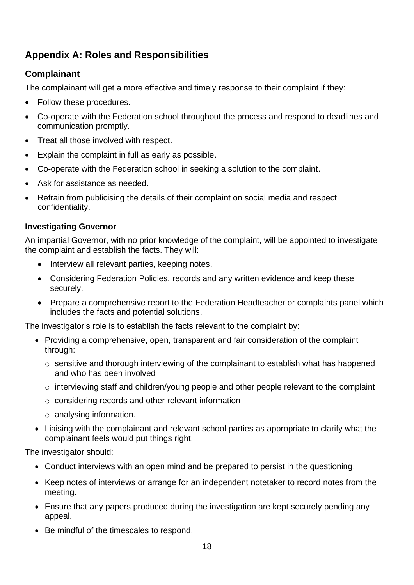## **Appendix A: Roles and Responsibilities**

## **Complainant**

The complainant will get a more effective and timely response to their complaint if they:

- Follow these procedures.
- Co-operate with the Federation school throughout the process and respond to deadlines and communication promptly.
- Treat all those involved with respect.
- Explain the complaint in full as early as possible.
- Co-operate with the Federation school in seeking a solution to the complaint.
- Ask for assistance as needed.
- Refrain from publicising the details of their complaint on social media and respect confidentiality.

#### **Investigating Governor**

An impartial Governor, with no prior knowledge of the complaint, will be appointed to investigate the complaint and establish the facts. They will:

- Interview all relevant parties, keeping notes.
- Considering Federation Policies, records and any written evidence and keep these securely.
- Prepare a comprehensive report to the Federation Headteacher or complaints panel which includes the facts and potential solutions.

The investigator's role is to establish the facts relevant to the complaint by:

- Providing a comprehensive, open, transparent and fair consideration of the complaint through:
	- o sensitive and thorough interviewing of the complainant to establish what has happened and who has been involved
	- o interviewing staff and children/young people and other people relevant to the complaint
	- o considering records and other relevant information
	- o analysing information.
- Liaising with the complainant and relevant school parties as appropriate to clarify what the complainant feels would put things right.

The investigator should:

- Conduct interviews with an open mind and be prepared to persist in the questioning.
- Keep notes of interviews or arrange for an independent notetaker to record notes from the meeting.
- Ensure that any papers produced during the investigation are kept securely pending any appeal.
- Be mindful of the timescales to respond.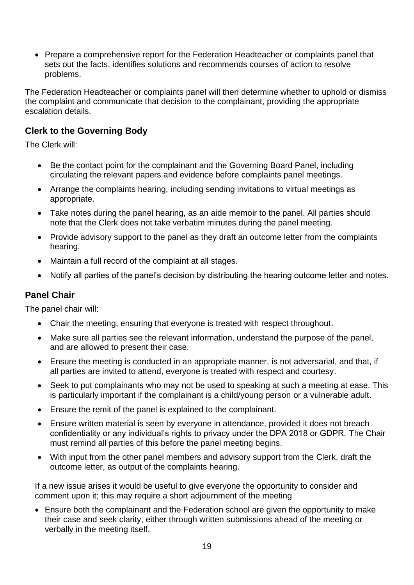• Prepare a comprehensive report for the Federation Headteacher or complaints panel that sets out the facts, identifies solutions and recommends courses of action to resolve problems.

The Federation Headteacher or complaints panel will then determine whether to uphold or dismiss the complaint and communicate that decision to the complainant, providing the appropriate escalation details.

## **Clerk to the Governing Body**

The Clerk will:

- Be the contact point for the complainant and the Governing Board Panel, including circulating the relevant papers and evidence before complaints panel meetings.
- Arrange the complaints hearing, including sending invitations to virtual meetings as appropriate.
- Take notes during the panel hearing, as an aide memoir to the panel. All parties should note that the Clerk does not take verbatim minutes during the panel meeting.
- Provide advisory support to the panel as they draft an outcome letter from the complaints hearing.
- Maintain a full record of the complaint at all stages.
- Notify all parties of the panel's decision by distributing the hearing outcome letter and notes.

#### **Panel Chair**

The panel chair will:

- Chair the meeting, ensuring that everyone is treated with respect throughout.
- Make sure all parties see the relevant information, understand the purpose of the panel, and are allowed to present their case.
- Ensure the meeting is conducted in an appropriate manner, is not adversarial, and that, if all parties are invited to attend, everyone is treated with respect and courtesy.
- Seek to put complainants who may not be used to speaking at such a meeting at ease. This is particularly important if the complainant is a child/young person or a vulnerable adult.
- Ensure the remit of the panel is explained to the complainant.
- Ensure written material is seen by everyone in attendance, provided it does not breach confidentiality or any individual's rights to privacy under the DPA 2018 or GDPR. The Chair must remind all parties of this before the panel meeting begins.
- With input from the other panel members and advisory support from the Clerk, draft the outcome letter, as output of the complaints hearing.

If a new issue arises it would be useful to give everyone the opportunity to consider and comment upon it; this may require a short adjournment of the meeting

• Ensure both the complainant and the Federation school are given the opportunity to make their case and seek clarity, either through written submissions ahead of the meeting or verbally in the meeting itself.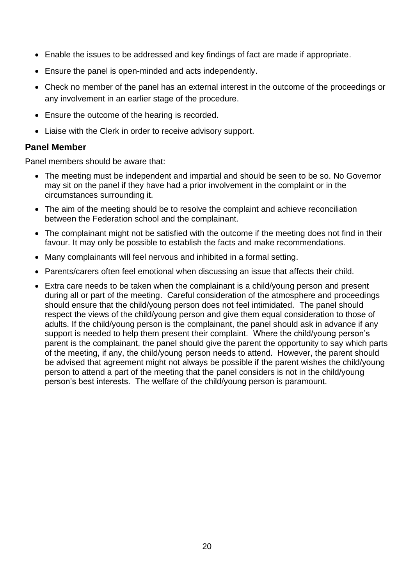- Enable the issues to be addressed and key findings of fact are made if appropriate.
- Ensure the panel is open-minded and acts independently.
- Check no member of the panel has an external interest in the outcome of the proceedings or any involvement in an earlier stage of the procedure.
- Ensure the outcome of the hearing is recorded.
- Liaise with the Clerk in order to receive advisory support.

#### **Panel Member**

Panel members should be aware that:

- The meeting must be independent and impartial and should be seen to be so. No Governor may sit on the panel if they have had a prior involvement in the complaint or in the circumstances surrounding it.
- The aim of the meeting should be to resolve the complaint and achieve reconciliation between the Federation school and the complainant.
- The complainant might not be satisfied with the outcome if the meeting does not find in their favour. It may only be possible to establish the facts and make recommendations.
- Many complainants will feel nervous and inhibited in a formal setting.
- Parents/carers often feel emotional when discussing an issue that affects their child.
- Extra care needs to be taken when the complainant is a child/young person and present during all or part of the meeting. Careful consideration of the atmosphere and proceedings should ensure that the child/young person does not feel intimidated. The panel should respect the views of the child/young person and give them equal consideration to those of adults. If the child/young person is the complainant, the panel should ask in advance if any support is needed to help them present their complaint. Where the child/young person's parent is the complainant, the panel should give the parent the opportunity to say which parts of the meeting, if any, the child/young person needs to attend. However, the parent should be advised that agreement might not always be possible if the parent wishes the child/young person to attend a part of the meeting that the panel considers is not in the child/young person's best interests. The welfare of the child/young person is paramount.